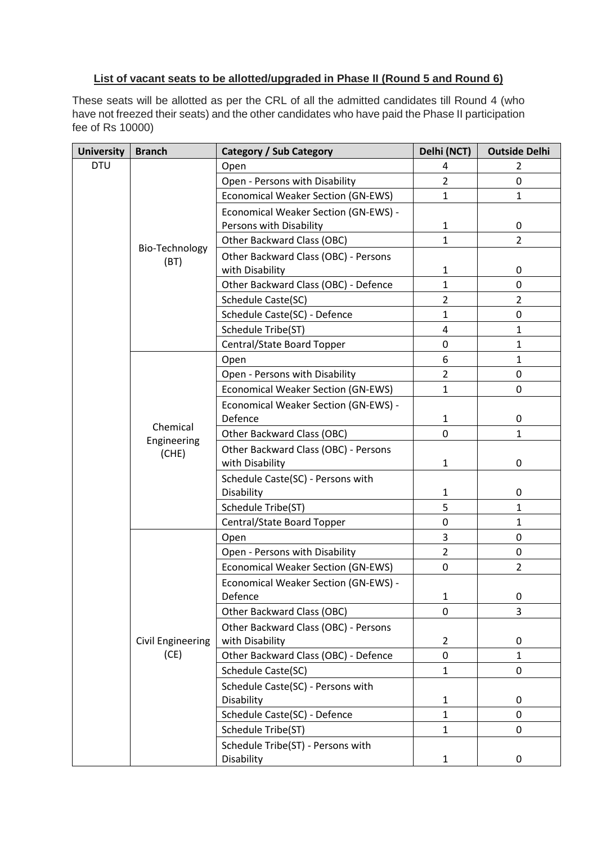## **List of vacant seats to be allotted/upgraded in Phase II (Round 5 and Round 6)**

These seats will be allotted as per the CRL of all the admitted candidates till Round 4 (who have not freezed their seats) and the other candidates who have paid the Phase II participation fee of Rs 10000)

| <b>University</b> | <b>Branch</b>                    | <b>Category / Sub Category</b>            | Delhi (NCT)    | <b>Outside Delhi</b> |
|-------------------|----------------------------------|-------------------------------------------|----------------|----------------------|
| <b>DTU</b>        |                                  | Open                                      | 4              | 2                    |
|                   |                                  | Open - Persons with Disability            | $\overline{2}$ | $\mathbf 0$          |
|                   |                                  | <b>Economical Weaker Section (GN-EWS)</b> | $\mathbf{1}$   | $\mathbf{1}$         |
|                   |                                  | Economical Weaker Section (GN-EWS) -      |                |                      |
|                   |                                  | Persons with Disability                   | $\mathbf{1}$   | 0                    |
|                   |                                  | Other Backward Class (OBC)                | $\mathbf{1}$   | $\overline{2}$       |
|                   | Bio-Technology<br>(BT)           | Other Backward Class (OBC) - Persons      |                |                      |
|                   |                                  | with Disability                           | $\mathbf{1}$   | 0                    |
|                   |                                  | Other Backward Class (OBC) - Defence      | $\mathbf{1}$   | 0                    |
|                   |                                  | Schedule Caste(SC)                        | $\overline{2}$ | $\overline{2}$       |
|                   |                                  | Schedule Caste(SC) - Defence              | $\mathbf{1}$   | $\pmb{0}$            |
|                   |                                  | Schedule Tribe(ST)                        | $\overline{4}$ | $\mathbf{1}$         |
|                   |                                  | Central/State Board Topper                | 0              | 1                    |
|                   |                                  | Open                                      | 6              | 1                    |
|                   |                                  | Open - Persons with Disability            | $\overline{2}$ | 0                    |
|                   |                                  | Economical Weaker Section (GN-EWS)        | $\mathbf{1}$   | 0                    |
|                   |                                  | Economical Weaker Section (GN-EWS) -      |                |                      |
|                   | Chemical<br>Engineering<br>(CHE) | Defence                                   | $\mathbf{1}$   | 0                    |
|                   |                                  | Other Backward Class (OBC)                | 0              | $\mathbf{1}$         |
|                   |                                  | Other Backward Class (OBC) - Persons      |                |                      |
|                   |                                  | with Disability                           | $\mathbf{1}$   | 0                    |
|                   |                                  | Schedule Caste(SC) - Persons with         |                |                      |
|                   |                                  | Disability                                | $\mathbf{1}$   | $\pmb{0}$            |
|                   |                                  | Schedule Tribe(ST)                        | 5              | $\mathbf{1}$         |
|                   |                                  | Central/State Board Topper                | 0              | $\mathbf{1}$         |
|                   |                                  | Open                                      | 3              | 0                    |
|                   |                                  | Open - Persons with Disability            | $\overline{2}$ | 0                    |
|                   |                                  | Economical Weaker Section (GN-EWS)        | 0              | $\overline{2}$       |
|                   |                                  | Economical Weaker Section (GN-EWS) -      |                |                      |
|                   |                                  | Defence                                   | 1              | 0                    |
|                   |                                  | Other Backward Class (OBC)                | 0              | 3                    |
|                   |                                  | Other Backward Class (OBC) - Persons      |                |                      |
|                   | <b>Civil Engineering</b>         | with Disability                           | $\overline{2}$ | 0                    |
|                   | (CE)                             | Other Backward Class (OBC) - Defence      | 0              | $\mathbf{1}$         |
|                   |                                  | Schedule Caste(SC)                        | $\mathbf{1}$   | 0                    |
|                   |                                  | Schedule Caste(SC) - Persons with         |                |                      |
|                   |                                  | Disability                                | 1              | 0                    |
|                   |                                  | Schedule Caste(SC) - Defence              | $\mathbf{1}$   | 0                    |
|                   |                                  | Schedule Tribe(ST)                        | $\mathbf{1}$   | 0                    |
|                   |                                  | Schedule Tribe(ST) - Persons with         |                |                      |
|                   |                                  | Disability                                | $\mathbf{1}$   | 0                    |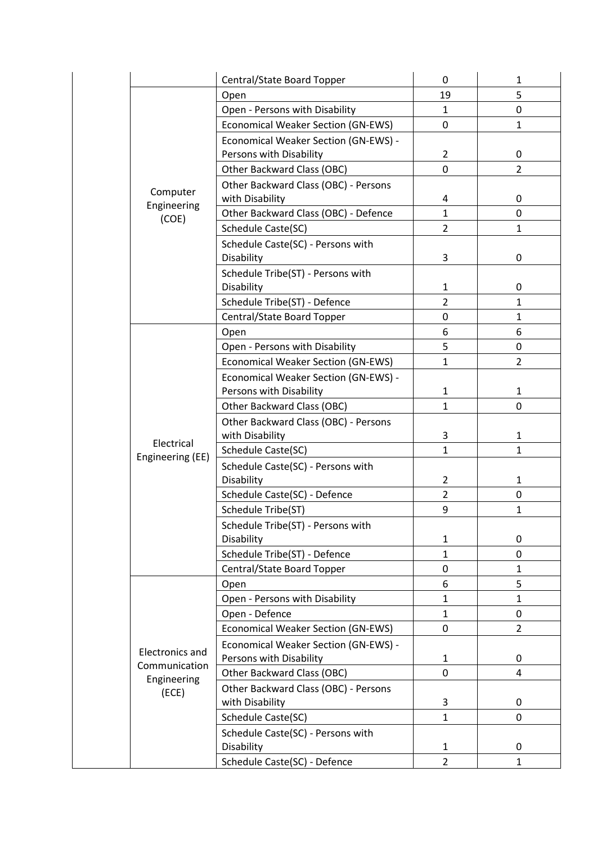|                              | Central/State Board Topper                                      | 0              | $\mathbf{1}$   |
|------------------------------|-----------------------------------------------------------------|----------------|----------------|
|                              | Open                                                            | 19             | 5              |
|                              | Open - Persons with Disability                                  | $\mathbf{1}$   | 0              |
|                              | <b>Economical Weaker Section (GN-EWS)</b>                       | 0              | $\mathbf{1}$   |
|                              | Economical Weaker Section (GN-EWS) -                            |                |                |
|                              | Persons with Disability                                         | $\overline{2}$ | 0              |
|                              | Other Backward Class (OBC)                                      | $\mathbf 0$    | $\overline{2}$ |
|                              | Other Backward Class (OBC) - Persons                            |                |                |
| Computer<br>Engineering      | with Disability                                                 | 4              | 0              |
| (COE)                        | Other Backward Class (OBC) - Defence                            | 1              | 0              |
|                              | Schedule Caste(SC)                                              | $\overline{2}$ | $\mathbf{1}$   |
|                              | Schedule Caste(SC) - Persons with<br>Disability                 | 3              | 0              |
|                              | Schedule Tribe(ST) - Persons with<br>Disability                 | 1              | 0              |
|                              | Schedule Tribe(ST) - Defence                                    | $\overline{2}$ | $\mathbf{1}$   |
|                              | Central/State Board Topper                                      | 0              | $\mathbf{1}$   |
|                              | Open                                                            | 6              | 6              |
|                              | Open - Persons with Disability                                  | 5              | 0              |
|                              | Economical Weaker Section (GN-EWS)                              | $\mathbf{1}$   | $\overline{2}$ |
|                              | Economical Weaker Section (GN-EWS) -<br>Persons with Disability | 1              | 1              |
|                              | Other Backward Class (OBC)                                      | $\mathbf{1}$   | 0              |
|                              | Other Backward Class (OBC) - Persons<br>with Disability         | 3              | $\mathbf{1}$   |
| Electrical                   | Schedule Caste(SC)                                              | $\mathbf{1}$   | $\mathbf{1}$   |
| Engineering (EE)             | Schedule Caste(SC) - Persons with                               |                |                |
|                              | Disability                                                      | $\overline{2}$ | $\mathbf{1}$   |
|                              | Schedule Caste(SC) - Defence                                    | $\overline{2}$ | 0              |
|                              | Schedule Tribe(ST)                                              | 9              | $\mathbf{1}$   |
|                              | Schedule Tribe(ST) - Persons with                               |                |                |
|                              | Disability                                                      | $\mathbf{1}$   | 0              |
|                              | Schedule Tribe(ST) - Defence                                    | $\mathbf{1}$   | 0              |
|                              | Central/State Board Topper                                      | 0              | $\mathbf{1}$   |
|                              | Open                                                            | 6              | 5              |
|                              | Open - Persons with Disability                                  | 1              | $\mathbf{1}$   |
|                              | Open - Defence                                                  | $\mathbf{1}$   | 0              |
|                              | Economical Weaker Section (GN-EWS)                              | 0              | $\overline{2}$ |
|                              | Economical Weaker Section (GN-EWS) -                            |                |                |
| <b>Electronics and</b>       | Persons with Disability                                         | $\mathbf{1}$   | 0              |
| Communication<br>Engineering | Other Backward Class (OBC)                                      | 0              | 4              |
| (ECE)                        | Other Backward Class (OBC) - Persons                            |                |                |
|                              | with Disability                                                 | 3              | 0              |
|                              | Schedule Caste(SC)                                              | $\mathbf{1}$   | 0              |
|                              | Schedule Caste(SC) - Persons with                               |                |                |
|                              | Disability                                                      | 1              | 0              |
|                              | Schedule Caste(SC) - Defence                                    | $\overline{2}$ | $\mathbf{1}$   |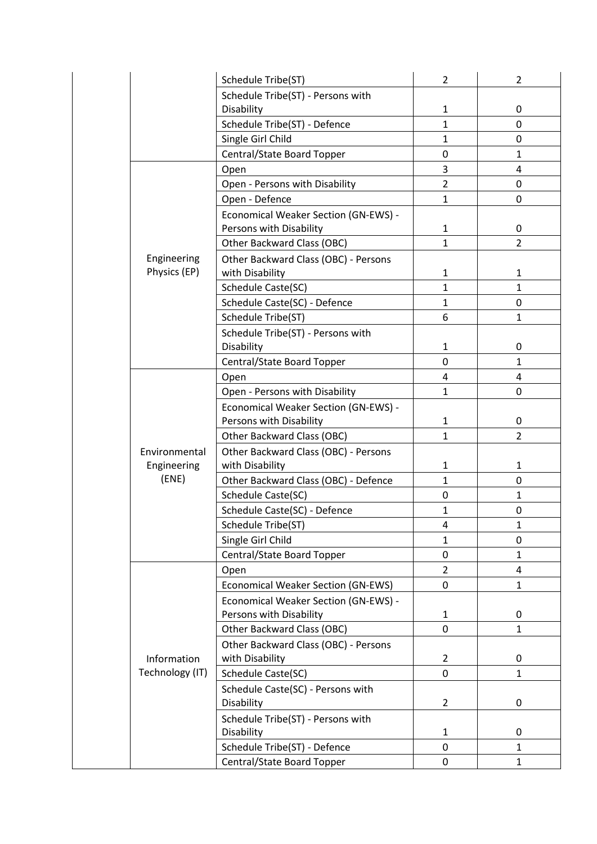|                 | Schedule Tribe(ST)                                                     | $\overline{2}$ | $\overline{2}$ |
|-----------------|------------------------------------------------------------------------|----------------|----------------|
|                 | Schedule Tribe(ST) - Persons with                                      |                |                |
|                 | Disability                                                             | $\mathbf{1}$   | 0              |
|                 | Schedule Tribe(ST) - Defence                                           | $\mathbf{1}$   | 0              |
|                 | Single Girl Child                                                      | $\mathbf{1}$   | 0              |
|                 | Central/State Board Topper                                             | 0              | $\mathbf{1}$   |
|                 | Open                                                                   | 3              | 4              |
|                 | Open - Persons with Disability                                         | $\overline{2}$ | $\mathbf 0$    |
|                 | Open - Defence                                                         | $\mathbf{1}$   | 0              |
|                 | Economical Weaker Section (GN-EWS) -                                   |                |                |
|                 | Persons with Disability                                                | $\mathbf{1}$   | 0              |
|                 | Other Backward Class (OBC)                                             | $\mathbf{1}$   | $\overline{2}$ |
| Engineering     | Other Backward Class (OBC) - Persons                                   |                |                |
| Physics (EP)    | with Disability                                                        | $\mathbf{1}$   | $\mathbf{1}$   |
|                 | Schedule Caste(SC)                                                     | $\mathbf{1}$   | $\mathbf{1}$   |
|                 | Schedule Caste(SC) - Defence                                           | $\mathbf{1}$   | 0              |
|                 | Schedule Tribe(ST)                                                     | 6              | $\mathbf{1}$   |
|                 | Schedule Tribe(ST) - Persons with                                      |                |                |
|                 | Disability                                                             | $\mathbf{1}$   | 0              |
|                 | Central/State Board Topper                                             | 0              | $\mathbf{1}$   |
|                 | Open                                                                   | 4              | 4              |
|                 | Open - Persons with Disability                                         | $\mathbf{1}$   | 0              |
|                 | Economical Weaker Section (GN-EWS) -                                   |                |                |
|                 | Persons with Disability                                                | $\mathbf{1}$   | 0              |
|                 | Other Backward Class (OBC)                                             | $\mathbf{1}$   | $\overline{2}$ |
| Environmental   | Other Backward Class (OBC) - Persons                                   |                |                |
| Engineering     | with Disability                                                        | $\mathbf{1}$   | $\mathbf{1}$   |
| (ENE)           | Other Backward Class (OBC) - Defence                                   | $\mathbf{1}$   | 0              |
|                 | Schedule Caste(SC)                                                     | 0              | $\mathbf{1}$   |
|                 | Schedule Caste(SC) - Defence                                           | $\mathbf{1}$   | 0              |
|                 | Schedule Tribe(ST)                                                     | 4              | 1              |
|                 | Single Girl Child                                                      | $\mathbf{1}$   | 0              |
|                 | Central/State Board Topper                                             | 0              | $\mathbf{1}$   |
|                 | Open                                                                   | $\overline{2}$ | 4              |
|                 | <b>Economical Weaker Section (GN-EWS)</b>                              | 0              | $\mathbf{1}$   |
|                 | Economical Weaker Section (GN-EWS) -                                   |                |                |
|                 | Persons with Disability                                                | $\mathbf{1}$   | 0              |
|                 | Other Backward Class (OBC)                                             | 0              | $\mathbf{1}$   |
|                 | Other Backward Class (OBC) - Persons                                   |                |                |
| Information     | with Disability                                                        | $\overline{2}$ | 0              |
| Technology (IT) | Schedule Caste(SC)                                                     | 0              | $\mathbf{1}$   |
|                 |                                                                        |                |                |
|                 | Disability                                                             | $\overline{2}$ | 0              |
|                 |                                                                        |                |                |
|                 | Disability                                                             | $\mathbf{1}$   | 0              |
|                 | Schedule Tribe(ST) - Defence                                           | 0              | $\mathbf{1}$   |
|                 | Central/State Board Topper                                             | 0              | 1              |
|                 | Schedule Caste(SC) - Persons with<br>Schedule Tribe(ST) - Persons with |                |                |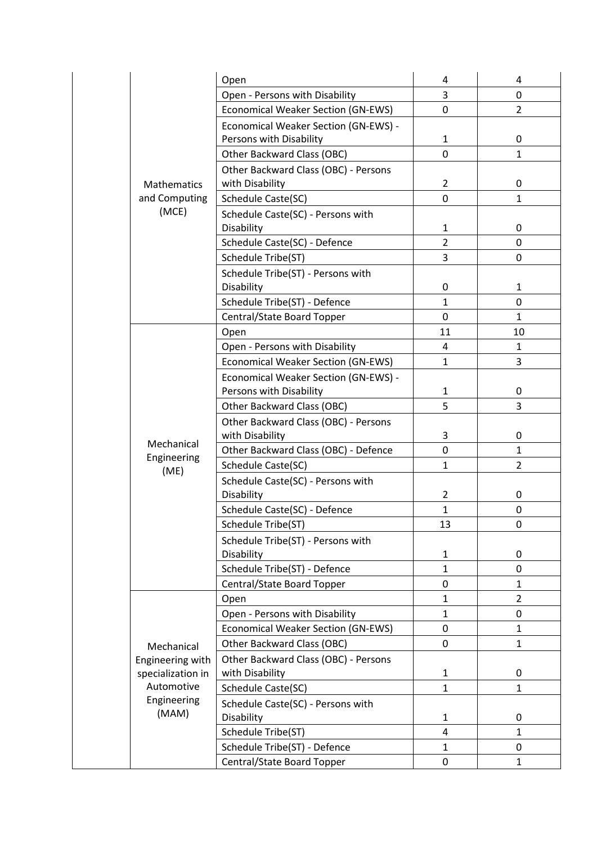|                    | Open                                      | 4              | 4              |
|--------------------|-------------------------------------------|----------------|----------------|
|                    | Open - Persons with Disability            | 3              | 0              |
|                    | <b>Economical Weaker Section (GN-EWS)</b> | $\mathbf 0$    | $\overline{2}$ |
|                    | Economical Weaker Section (GN-EWS) -      |                |                |
|                    | Persons with Disability                   | $\mathbf{1}$   | 0              |
|                    | Other Backward Class (OBC)                | 0              | $\mathbf{1}$   |
|                    | Other Backward Class (OBC) - Persons      |                |                |
| <b>Mathematics</b> | with Disability                           | $\overline{2}$ | 0              |
| and Computing      | Schedule Caste(SC)                        | $\mathbf 0$    | $\mathbf{1}$   |
| (MCE)              | Schedule Caste(SC) - Persons with         |                |                |
|                    | Disability                                | $\mathbf{1}$   | 0              |
|                    | Schedule Caste(SC) - Defence              | $\overline{2}$ | 0              |
|                    | Schedule Tribe(ST)                        | 3              | 0              |
|                    | Schedule Tribe(ST) - Persons with         |                |                |
|                    | Disability                                | 0              | $\mathbf{1}$   |
|                    | Schedule Tribe(ST) - Defence              | $\mathbf{1}$   | 0              |
|                    | Central/State Board Topper                | 0              | $\mathbf{1}$   |
|                    | Open                                      | 11             | 10             |
|                    | Open - Persons with Disability            | 4              | $\mathbf{1}$   |
|                    | <b>Economical Weaker Section (GN-EWS)</b> | $\mathbf{1}$   | 3              |
|                    | Economical Weaker Section (GN-EWS) -      |                |                |
|                    | Persons with Disability                   | $\mathbf{1}$   | 0              |
|                    | Other Backward Class (OBC)                | 5              | 3              |
|                    | Other Backward Class (OBC) - Persons      |                |                |
| Mechanical         | with Disability                           | 3              | 0              |
| Engineering        | Other Backward Class (OBC) - Defence      | $\mathbf 0$    | $\mathbf{1}$   |
| (ME)               | Schedule Caste(SC)                        | $\mathbf{1}$   | $\overline{2}$ |
|                    | Schedule Caste(SC) - Persons with         |                |                |
|                    | Disability                                | $\overline{2}$ | 0              |
|                    | Schedule Caste(SC) - Defence              | $\mathbf{1}$   | 0              |
|                    | Schedule Tribe(ST)                        | 13             | 0              |
|                    | Schedule Tribe(ST) - Persons with         |                |                |
|                    | Disability                                | $\mathbf{1}$   | 0              |
|                    | Schedule Tribe(ST) - Defence              | $\mathbf{1}$   | 0              |
|                    | Central/State Board Topper                | $\mathbf 0$    | $\mathbf{1}$   |
|                    | Open                                      | $\mathbf{1}$   | $\overline{2}$ |
|                    | Open - Persons with Disability            | $\mathbf{1}$   | 0              |
|                    | <b>Economical Weaker Section (GN-EWS)</b> | 0              | $\mathbf{1}$   |
| Mechanical         | Other Backward Class (OBC)                | 0              | $\mathbf{1}$   |
| Engineering with   | Other Backward Class (OBC) - Persons      |                |                |
| specialization in  | with Disability                           | $\mathbf{1}$   | 0              |
| Automotive         | Schedule Caste(SC)                        | $\mathbf{1}$   | $\mathbf{1}$   |
| Engineering        | Schedule Caste(SC) - Persons with         |                |                |
| (MAM)              | Disability                                | $\mathbf{1}$   | 0              |
|                    | Schedule Tribe(ST)                        | 4              | $\mathbf{1}$   |
|                    | Schedule Tribe(ST) - Defence              | $\mathbf{1}$   | 0              |
|                    | Central/State Board Topper                | 0              | 1              |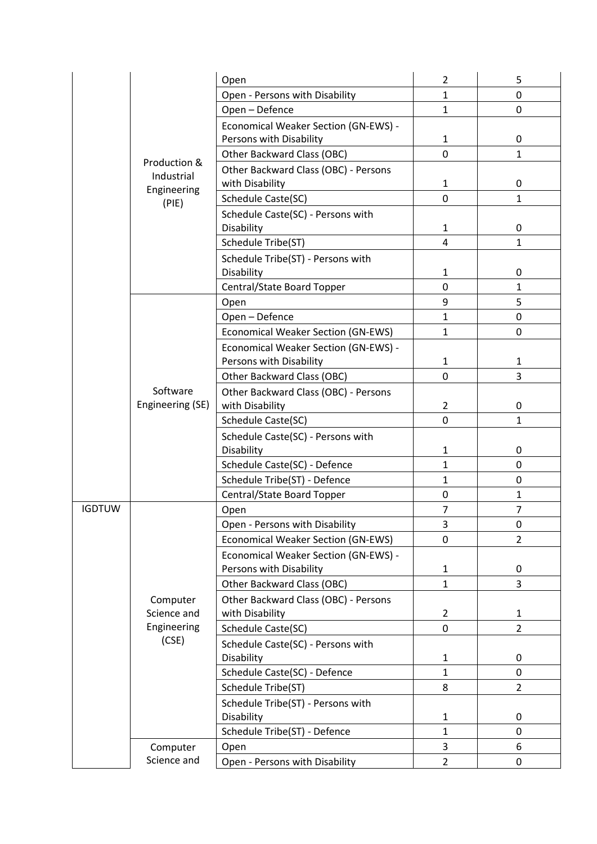|               |                              | Open                                            | $\overline{2}$   | 5                   |
|---------------|------------------------------|-------------------------------------------------|------------------|---------------------|
|               |                              | Open - Persons with Disability                  | $\mathbf{1}$     | 0                   |
|               |                              | Open - Defence                                  | $\mathbf{1}$     | 0                   |
|               |                              | Economical Weaker Section (GN-EWS) -            |                  |                     |
|               |                              | Persons with Disability                         | 1                | 0                   |
|               | Production &                 | Other Backward Class (OBC)                      | 0                | $\mathbf{1}$        |
|               | Industrial                   | Other Backward Class (OBC) - Persons            |                  |                     |
|               | Engineering                  | with Disability                                 | $\mathbf{1}$     | 0                   |
|               | (PIE)                        | Schedule Caste(SC)                              | 0                | $\mathbf{1}$        |
|               |                              | Schedule Caste(SC) - Persons with               |                  |                     |
|               |                              | Disability                                      | 1                | 0                   |
|               |                              | Schedule Tribe(ST)                              | 4                | $\mathbf{1}$        |
|               |                              | Schedule Tribe(ST) - Persons with               |                  |                     |
|               |                              | Disability                                      | 1                | 0                   |
|               |                              | Central/State Board Topper                      | 0                | $\mathbf{1}$        |
|               |                              | Open                                            | 9                | 5                   |
|               |                              | Open - Defence                                  | 1                | 0                   |
|               |                              | Economical Weaker Section (GN-EWS)              | 1                | 0                   |
|               |                              | Economical Weaker Section (GN-EWS) -            |                  |                     |
|               | Software<br>Engineering (SE) | Persons with Disability                         | 1                | 1                   |
|               |                              | Other Backward Class (OBC)                      | 0                | 3                   |
|               |                              | Other Backward Class (OBC) - Persons            |                  |                     |
|               |                              | with Disability                                 | 2<br>$\mathbf 0$ | 0<br>$\mathbf{1}$   |
|               |                              | Schedule Caste(SC)                              |                  |                     |
|               |                              | Schedule Caste(SC) - Persons with<br>Disability | 1                | 0                   |
|               |                              | Schedule Caste(SC) - Defence                    | $\mathbf{1}$     | 0                   |
|               |                              | Schedule Tribe(ST) - Defence                    | $\mathbf{1}$     | 0                   |
|               |                              | Central/State Board Topper                      | 0                | $\mathbf{1}$        |
| <b>IGDTUW</b> |                              | Open                                            | 7                | $\overline{7}$      |
|               |                              | Open - Persons with Disability                  | 3                | 0                   |
|               |                              | <b>Economical Weaker Section (GN-EWS)</b>       | 0                | $\overline{2}$      |
|               |                              | Economical Weaker Section (GN-EWS) -            |                  |                     |
|               |                              | Persons with Disability                         | 1                | 0                   |
|               |                              | Other Backward Class (OBC)                      | $\mathbf{1}$     | 3                   |
|               | Computer<br>Science and      | Other Backward Class (OBC) - Persons            | 2                |                     |
|               | Engineering                  | with Disability<br>Schedule Caste(SC)           | 0                | 1<br>$\overline{2}$ |
|               | (CSE)                        |                                                 |                  |                     |
|               |                              | Schedule Caste(SC) - Persons with<br>Disability | 1                | 0                   |
|               |                              | Schedule Caste(SC) - Defence                    | $\mathbf{1}$     | 0                   |
|               |                              | Schedule Tribe(ST)                              | 8                | $\overline{2}$      |
|               |                              | Schedule Tribe(ST) - Persons with               |                  |                     |
|               |                              | Disability                                      | 1                | 0                   |
|               |                              | Schedule Tribe(ST) - Defence                    | $\mathbf{1}$     | 0                   |
|               | Computer                     | Open                                            | 3                | 6                   |
|               | Science and                  |                                                 | $\overline{2}$   | 0                   |
|               |                              | Open - Persons with Disability                  |                  |                     |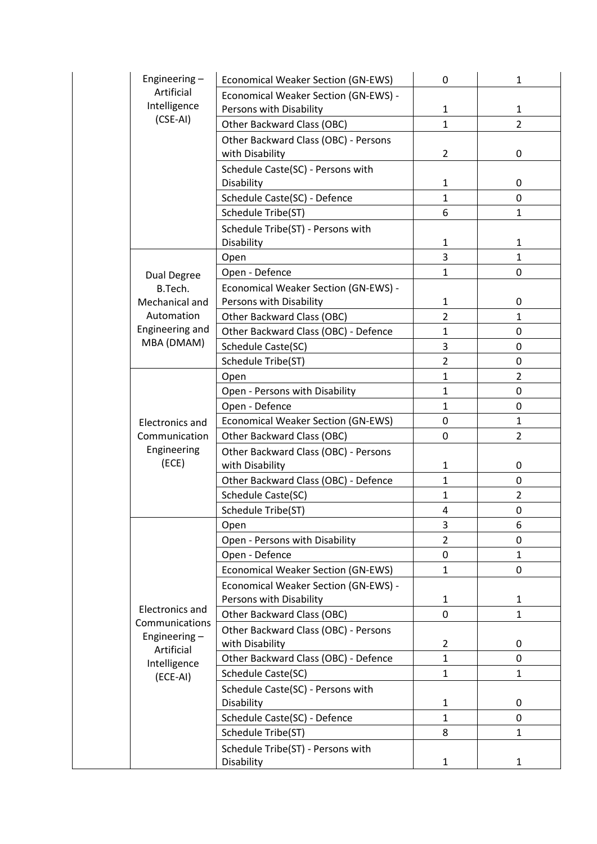| Engineering-                   | Economical Weaker Section (GN-EWS)                              | 0              | 1              |
|--------------------------------|-----------------------------------------------------------------|----------------|----------------|
| Artificial                     | Economical Weaker Section (GN-EWS) -                            |                |                |
| Intelligence                   | Persons with Disability                                         | 1              | $\mathbf{1}$   |
| $(CSE-AI)$                     | Other Backward Class (OBC)                                      | $\mathbf{1}$   | $\overline{2}$ |
|                                | Other Backward Class (OBC) - Persons<br>with Disability         | $\overline{2}$ | 0              |
|                                | Schedule Caste(SC) - Persons with                               |                |                |
|                                | Disability                                                      | $\mathbf{1}$   | 0              |
|                                | Schedule Caste(SC) - Defence                                    | $\mathbf{1}$   | 0              |
|                                | Schedule Tribe(ST)                                              | 6              | 1              |
|                                | Schedule Tribe(ST) - Persons with<br>Disability                 | 1              | 1              |
|                                | Open                                                            | 3              | $\mathbf{1}$   |
| <b>Dual Degree</b>             | Open - Defence                                                  | $\mathbf{1}$   | 0              |
| B.Tech.<br>Mechanical and      | Economical Weaker Section (GN-EWS) -<br>Persons with Disability | $\mathbf{1}$   | 0              |
| Automation                     |                                                                 | $\overline{2}$ | $\mathbf{1}$   |
| Engineering and                | Other Backward Class (OBC)                                      | $\mathbf{1}$   | 0              |
| MBA (DMAM)                     | Other Backward Class (OBC) - Defence                            | 3              |                |
|                                | Schedule Caste(SC)                                              |                | 0              |
|                                | Schedule Tribe(ST)                                              | $\overline{2}$ | 0              |
|                                | Open                                                            | $\mathbf{1}$   | $\overline{2}$ |
|                                | Open - Persons with Disability                                  | $\mathbf{1}$   | 0              |
|                                | Open - Defence                                                  | $\mathbf{1}$   | $\Omega$       |
| <b>Electronics and</b>         | Economical Weaker Section (GN-EWS)                              | $\mathbf 0$    | $\mathbf{1}$   |
| Communication                  | Other Backward Class (OBC)                                      | 0              | $\overline{2}$ |
| Engineering<br>(ECE)           | Other Backward Class (OBC) - Persons<br>with Disability         | 1              | 0              |
|                                | Other Backward Class (OBC) - Defence                            | $\mathbf{1}$   | 0              |
|                                | Schedule Caste(SC)                                              | $\mathbf{1}$   | $\overline{2}$ |
|                                | Schedule Tribe(ST)                                              | 4              | 0              |
|                                | Open                                                            | 3              | 6              |
|                                | Open - Persons with Disability                                  | $\overline{2}$ | 0              |
|                                | Open - Defence                                                  | 0              | 1              |
|                                | Economical Weaker Section (GN-EWS)                              | $\mathbf{1}$   | 0              |
|                                | Economical Weaker Section (GN-EWS) -<br>Persons with Disability | $\mathbf{1}$   | $\mathbf{1}$   |
| <b>Electronics and</b>         | Other Backward Class (OBC)                                      | 0              | $\mathbf{1}$   |
| Communications<br>Engineering- | Other Backward Class (OBC) - Persons<br>with Disability         | $\overline{2}$ | 0              |
| Artificial                     | Other Backward Class (OBC) - Defence                            | $\mathbf{1}$   | 0              |
| Intelligence                   | Schedule Caste(SC)                                              | $\mathbf{1}$   | $\mathbf{1}$   |
| (ECE-AI)                       | Schedule Caste(SC) - Persons with                               |                |                |
|                                | Disability                                                      | $\mathbf{1}$   | 0              |
|                                | Schedule Caste(SC) - Defence                                    | 1              | 0              |
|                                | Schedule Tribe(ST)                                              | 8              | 1              |
|                                | Schedule Tribe(ST) - Persons with                               |                |                |
|                                | Disability                                                      | $\mathbf{1}$   | 1              |
|                                |                                                                 |                |                |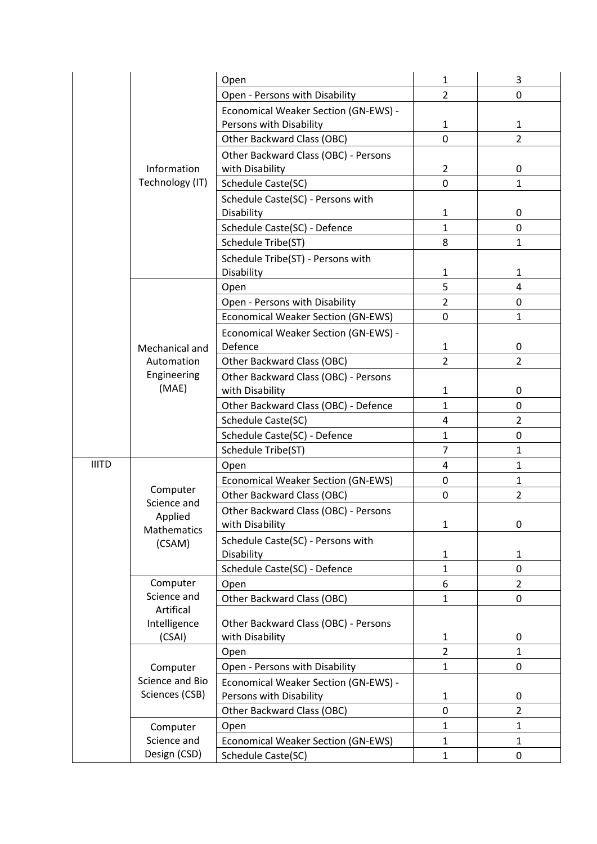|              |                        | Open                                                    | $\mathbf{1}$      | 3                   |
|--------------|------------------------|---------------------------------------------------------|-------------------|---------------------|
|              |                        | Open - Persons with Disability                          | $\overline{2}$    | 0                   |
|              |                        | Economical Weaker Section (GN-EWS) -                    |                   |                     |
|              |                        | Persons with Disability                                 | $\mathbf{1}$      | $\mathbf{1}$        |
|              |                        | Other Backward Class (OBC)                              | 0                 | $\overline{2}$      |
|              |                        | Other Backward Class (OBC) - Persons                    |                   |                     |
|              | Information            | with Disability                                         | $\overline{2}$    | 0                   |
|              | Technology (IT)        | Schedule Caste(SC)                                      | 0                 | $\mathbf{1}$        |
|              |                        | Schedule Caste(SC) - Persons with<br>Disability         | 1                 | 0                   |
|              |                        | Schedule Caste(SC) - Defence                            | $\mathbf{1}$      | $\mathbf 0$         |
|              |                        | Schedule Tribe(ST)                                      | 8                 | $\mathbf{1}$        |
|              |                        | Schedule Tribe(ST) - Persons with<br>Disability         | 1                 | 1                   |
|              |                        | Open                                                    | 5                 | $\overline{4}$      |
|              |                        | Open - Persons with Disability                          | $\overline{2}$    | 0                   |
|              |                        | <b>Economical Weaker Section (GN-EWS)</b>               | 0                 | $\mathbf{1}$        |
|              | Mechanical and         | Economical Weaker Section (GN-EWS) -<br>Defence         | $\mathbf{1}$      | 0                   |
|              | Automation             | Other Backward Class (OBC)                              | $\overline{2}$    | $\overline{2}$      |
|              | Engineering<br>(MAE)   | Other Backward Class (OBC) - Persons<br>with Disability | 1                 | 0                   |
|              |                        | Other Backward Class (OBC) - Defence                    | $\mathbf{1}$      | 0                   |
|              |                        | Schedule Caste(SC)                                      | 4                 | $\overline{2}$      |
|              |                        | Schedule Caste(SC) - Defence                            | $\mathbf{1}$      | 0                   |
|              |                        | Schedule Tribe(ST)                                      | $\overline{7}$    | $\mathbf{1}$        |
| <b>IIITD</b> |                        | Open                                                    | $\overline{4}$    | $\mathbf{1}$        |
|              |                        | <b>Economical Weaker Section (GN-EWS)</b>               | $\pmb{0}$         | $\mathbf{1}$        |
|              | Computer               | Other Backward Class (OBC)                              | 0                 | $\overline{2}$      |
|              | Science and<br>Applied | Other Backward Class (OBC) - Persons                    |                   |                     |
|              | Mathematics            | with Disability                                         | $\mathbf{1}$      | 0                   |
|              | (CSAM)                 | Schedule Caste(SC) - Persons with                       |                   |                     |
|              |                        | Disability                                              | 1                 | $\mathbf{1}$        |
|              | Computer               | Schedule Caste(SC) - Defence                            | $\mathbf{1}$      | 0                   |
|              | Science and            | Open<br>Other Backward Class (OBC)                      | 6<br>$\mathbf{1}$ | $\overline{2}$<br>0 |
|              | Artifical              |                                                         |                   |                     |
|              | Intelligence<br>(CSAI) | Other Backward Class (OBC) - Persons<br>with Disability | 1                 | 0                   |
|              |                        | Open                                                    | $\overline{2}$    | $\mathbf{1}$        |
|              | Computer               | Open - Persons with Disability                          | $\mathbf{1}$      | $\pmb{0}$           |
|              | Science and Bio        | Economical Weaker Section (GN-EWS) -                    |                   |                     |
|              | Sciences (CSB)         | Persons with Disability                                 | $\mathbf{1}$      | 0                   |
|              |                        | Other Backward Class (OBC)                              | 0                 | $\overline{2}$      |
|              | Computer               | Open                                                    | $\mathbf{1}$      | $\mathbf{1}$        |
|              | Science and            | <b>Economical Weaker Section (GN-EWS)</b>               | $\mathbf{1}$      | $\mathbf{1}$        |
|              | Design (CSD)           | Schedule Caste(SC)                                      | $\mathbf{1}$      | 0                   |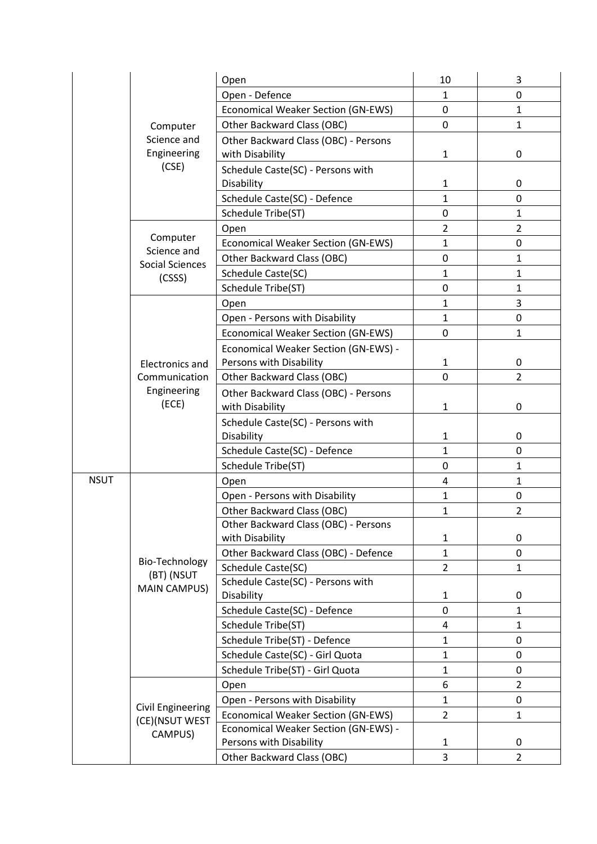| Open - Defence<br>1<br>0<br>$\mathbf 0$<br>$\mathbf{1}$<br><b>Economical Weaker Section (GN-EWS)</b><br>0<br>$\mathbf{1}$<br>Other Backward Class (OBC)<br>Computer<br>Science and<br>Other Backward Class (OBC) - Persons<br>Engineering<br>with Disability<br>$\mathbf{1}$<br>0<br>(CSE)<br>Schedule Caste(SC) - Persons with<br>Disability<br>1<br>0<br>Schedule Caste(SC) - Defence<br>0<br>1<br>Schedule Tribe(ST)<br>$\mathbf 0$<br>$\mathbf{1}$<br>$\overline{2}$<br>$\overline{2}$<br>Open |
|----------------------------------------------------------------------------------------------------------------------------------------------------------------------------------------------------------------------------------------------------------------------------------------------------------------------------------------------------------------------------------------------------------------------------------------------------------------------------------------------------|
|                                                                                                                                                                                                                                                                                                                                                                                                                                                                                                    |
|                                                                                                                                                                                                                                                                                                                                                                                                                                                                                                    |
|                                                                                                                                                                                                                                                                                                                                                                                                                                                                                                    |
|                                                                                                                                                                                                                                                                                                                                                                                                                                                                                                    |
|                                                                                                                                                                                                                                                                                                                                                                                                                                                                                                    |
|                                                                                                                                                                                                                                                                                                                                                                                                                                                                                                    |
|                                                                                                                                                                                                                                                                                                                                                                                                                                                                                                    |
|                                                                                                                                                                                                                                                                                                                                                                                                                                                                                                    |
| Computer<br>$\mathbf{1}$<br><b>Economical Weaker Section (GN-EWS)</b><br>0<br>Science and                                                                                                                                                                                                                                                                                                                                                                                                          |
| $\mathbf 0$<br>Other Backward Class (OBC)<br>$\mathbf{1}$<br>Social Sciences                                                                                                                                                                                                                                                                                                                                                                                                                       |
| Schedule Caste(SC)<br>1<br>1<br>(CSSS)                                                                                                                                                                                                                                                                                                                                                                                                                                                             |
| $\mathbf{1}$<br>$\mathbf 0$<br>Schedule Tribe(ST)                                                                                                                                                                                                                                                                                                                                                                                                                                                  |
| 3<br>$\mathbf{1}$<br>Open                                                                                                                                                                                                                                                                                                                                                                                                                                                                          |
| $\mathbf{1}$<br>0<br>Open - Persons with Disability                                                                                                                                                                                                                                                                                                                                                                                                                                                |
| Economical Weaker Section (GN-EWS)<br>0<br>$\mathbf{1}$                                                                                                                                                                                                                                                                                                                                                                                                                                            |
| Economical Weaker Section (GN-EWS) -<br>Persons with Disability<br>$\mathbf{1}$<br>0<br><b>Electronics and</b>                                                                                                                                                                                                                                                                                                                                                                                     |
| $\overline{2}$<br>0<br>Communication<br>Other Backward Class (OBC)                                                                                                                                                                                                                                                                                                                                                                                                                                 |
| Engineering<br>Other Backward Class (OBC) - Persons<br>(ECE)<br>with Disability<br>$\mathbf{1}$<br>0                                                                                                                                                                                                                                                                                                                                                                                               |
| Schedule Caste(SC) - Persons with<br>Disability<br>1<br>0                                                                                                                                                                                                                                                                                                                                                                                                                                          |
| Schedule Caste(SC) - Defence<br>1<br>0                                                                                                                                                                                                                                                                                                                                                                                                                                                             |
| Schedule Tribe(ST)<br>$\mathbf 0$<br>1                                                                                                                                                                                                                                                                                                                                                                                                                                                             |
| <b>NSUT</b><br>$\overline{4}$<br>$\mathbf{1}$<br>Open                                                                                                                                                                                                                                                                                                                                                                                                                                              |
| Open - Persons with Disability<br>$\mathbf{1}$<br>0                                                                                                                                                                                                                                                                                                                                                                                                                                                |
| $\overline{2}$<br>Other Backward Class (OBC)<br>1                                                                                                                                                                                                                                                                                                                                                                                                                                                  |
| Other Backward Class (OBC) - Persons<br>with Disability<br>$\mathbf{1}$<br>0                                                                                                                                                                                                                                                                                                                                                                                                                       |
| 0<br>Other Backward Class (OBC) - Defence<br>$\mathbf{1}$                                                                                                                                                                                                                                                                                                                                                                                                                                          |
| Bio-Technology<br>$\overline{2}$<br>Schedule Caste(SC)<br>$\mathbf{1}$<br>(BT) (NSUT                                                                                                                                                                                                                                                                                                                                                                                                               |
| Schedule Caste(SC) - Persons with<br><b>MAIN CAMPUS)</b><br>Disability<br>1<br>0                                                                                                                                                                                                                                                                                                                                                                                                                   |
| Schedule Caste(SC) - Defence<br>0<br>$\mathbf{1}$                                                                                                                                                                                                                                                                                                                                                                                                                                                  |
| 4<br>$\mathbf{1}$<br>Schedule Tribe(ST)                                                                                                                                                                                                                                                                                                                                                                                                                                                            |
| Schedule Tribe(ST) - Defence<br>$\mathbf{1}$<br>0                                                                                                                                                                                                                                                                                                                                                                                                                                                  |
| Schedule Caste(SC) - Girl Quota<br>$\mathbf{1}$<br>0                                                                                                                                                                                                                                                                                                                                                                                                                                               |
| Schedule Tribe(ST) - Girl Quota<br>$\mathbf{1}$<br>0                                                                                                                                                                                                                                                                                                                                                                                                                                               |
| 6<br>$\overline{2}$<br>Open                                                                                                                                                                                                                                                                                                                                                                                                                                                                        |
| Open - Persons with Disability<br>1<br>0                                                                                                                                                                                                                                                                                                                                                                                                                                                           |
| <b>Civil Engineering</b><br><b>Economical Weaker Section (GN-EWS)</b><br>$\overline{2}$<br>$\mathbf{1}$<br>(CE)(NSUT WEST                                                                                                                                                                                                                                                                                                                                                                          |
| Economical Weaker Section (GN-EWS) -<br>CAMPUS)<br>Persons with Disability<br>1<br>0                                                                                                                                                                                                                                                                                                                                                                                                               |
| Other Backward Class (OBC)<br>3<br>$\overline{2}$                                                                                                                                                                                                                                                                                                                                                                                                                                                  |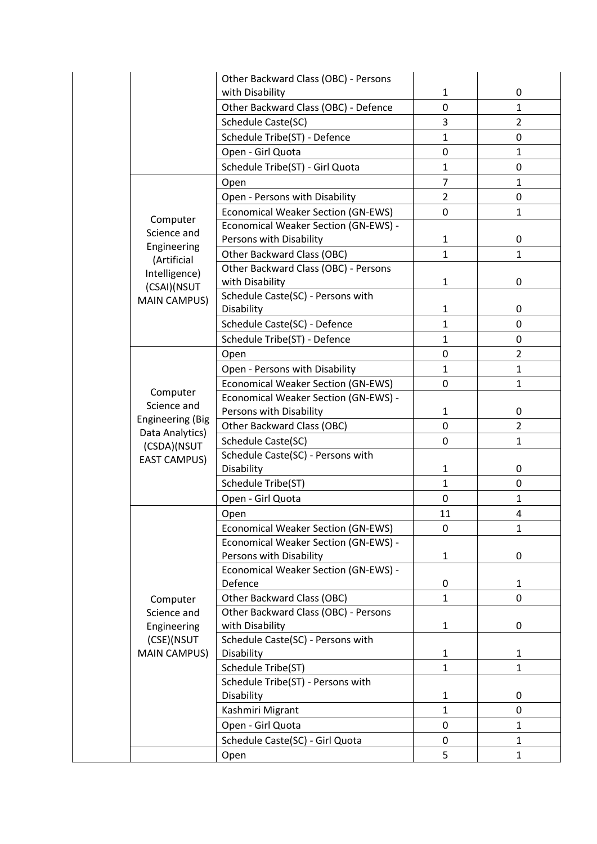|                                   | Other Backward Class (OBC) - Persons        |                |                |
|-----------------------------------|---------------------------------------------|----------------|----------------|
|                                   | with Disability                             | $\mathbf{1}$   | 0              |
|                                   | Other Backward Class (OBC) - Defence        | $\mathbf 0$    | $\mathbf{1}$   |
|                                   | Schedule Caste(SC)                          | 3              | $\overline{2}$ |
|                                   | Schedule Tribe(ST) - Defence                | $\mathbf{1}$   | 0              |
|                                   | Open - Girl Quota                           | $\mathbf 0$    | $\mathbf{1}$   |
|                                   | Schedule Tribe(ST) - Girl Quota             | $\mathbf{1}$   | 0              |
|                                   | Open                                        | $\overline{7}$ | $\mathbf{1}$   |
|                                   | Open - Persons with Disability              | $\overline{2}$ | 0              |
|                                   | <b>Economical Weaker Section (GN-EWS)</b>   | 0              | $\mathbf{1}$   |
| Computer                          | <b>Economical Weaker Section (GN-EWS) -</b> |                |                |
| Science and                       | Persons with Disability                     | $\mathbf{1}$   | 0              |
| Engineering                       | Other Backward Class (OBC)                  | $\mathbf{1}$   | $\mathbf{1}$   |
| (Artificial                       | Other Backward Class (OBC) - Persons        |                |                |
| Intelligence)                     | with Disability                             | $\mathbf{1}$   | 0              |
| (CSAI)(NSUT                       | Schedule Caste(SC) - Persons with           |                |                |
| <b>MAIN CAMPUS)</b>               | Disability                                  | $\mathbf{1}$   | 0              |
|                                   | Schedule Caste(SC) - Defence                | $\mathbf{1}$   | $\mathbf 0$    |
|                                   |                                             |                |                |
|                                   | Schedule Tribe(ST) - Defence                | $\mathbf{1}$   | 0              |
|                                   | Open                                        | $\mathbf 0$    | $\overline{2}$ |
|                                   | Open - Persons with Disability              | $\mathbf{1}$   | $\mathbf{1}$   |
| Computer                          | <b>Economical Weaker Section (GN-EWS)</b>   | $\mathbf 0$    | $\mathbf{1}$   |
| Science and                       | Economical Weaker Section (GN-EWS) -        |                |                |
| <b>Engineering (Big</b>           | Persons with Disability                     | $\mathbf{1}$   | 0              |
| Data Analytics)                   | <b>Other Backward Class (OBC)</b>           | $\mathbf 0$    | $\overline{2}$ |
| (CSDA)(NSUT                       | Schedule Caste(SC)                          | $\mathbf 0$    | $\mathbf{1}$   |
| <b>EAST CAMPUS)</b>               | Schedule Caste(SC) - Persons with           |                |                |
|                                   | Disability                                  | $\mathbf{1}$   | 0              |
|                                   | Schedule Tribe(ST)                          | $\mathbf{1}$   | 0              |
|                                   | Open - Girl Quota                           | $\mathbf 0$    | $\mathbf{1}$   |
|                                   | Open                                        | 11             | $\overline{4}$ |
|                                   | <b>Economical Weaker Section (GN-EWS)</b>   | 0              | 1              |
|                                   | Economical Weaker Section (GN-EWS) -        |                |                |
|                                   | Persons with Disability                     | $\mathbf{1}$   | 0              |
|                                   | Economical Weaker Section (GN-EWS) -        |                |                |
|                                   | Defence                                     | 0              | $\mathbf{1}$   |
| Computer                          | Other Backward Class (OBC)                  | $\mathbf{1}$   | 0              |
| Science and                       | Other Backward Class (OBC) - Persons        |                |                |
| Engineering                       | with Disability                             | $\mathbf{1}$   | 0              |
| (CSE)(NSUT<br><b>MAIN CAMPUS)</b> | Schedule Caste(SC) - Persons with           |                |                |
|                                   | Disability                                  | $\mathbf{1}$   | 1              |
|                                   | Schedule Tribe(ST)                          | $\mathbf{1}$   | $\mathbf{1}$   |
|                                   | Schedule Tribe(ST) - Persons with           |                |                |
|                                   | Disability                                  | $\mathbf{1}$   | 0              |
|                                   | Kashmiri Migrant                            | $\mathbf{1}$   | 0              |
|                                   | Open - Girl Quota                           | 0              | $\mathbf{1}$   |
|                                   | Schedule Caste(SC) - Girl Quota             | 0              | $\mathbf{1}$   |
|                                   | Open                                        | 5              | $\mathbf{1}$   |
|                                   |                                             |                |                |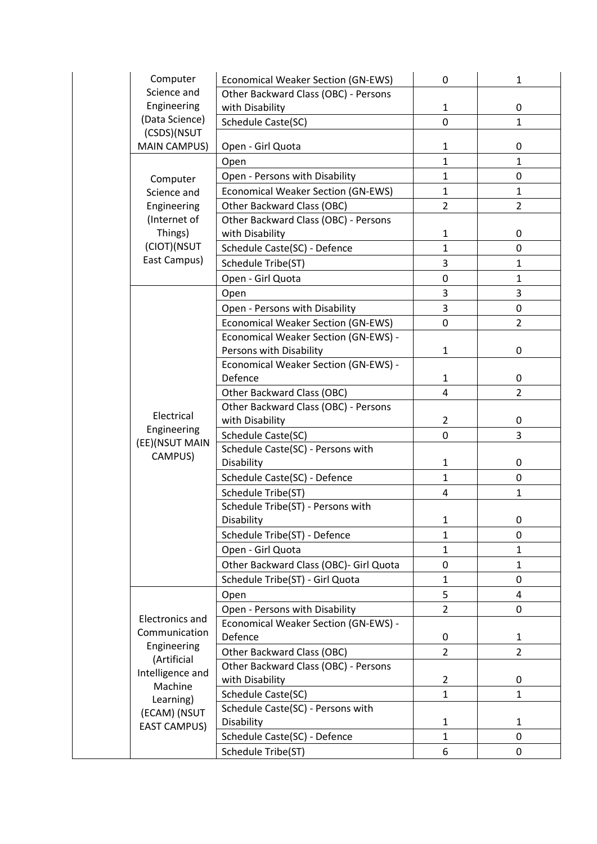|  | Computer                                               | <b>Economical Weaker Section (GN-EWS)</b>                       | 0                       | $\mathbf{1}$   |
|--|--------------------------------------------------------|-----------------------------------------------------------------|-------------------------|----------------|
|  | Science and                                            | Other Backward Class (OBC) - Persons                            |                         |                |
|  | Engineering                                            | with Disability                                                 | $\mathbf{1}$            | 0              |
|  | (Data Science)                                         | Schedule Caste(SC)                                              | 0                       | $\mathbf{1}$   |
|  | (CSDS)(NSUT<br><b>MAIN CAMPUS)</b>                     | Open - Girl Quota                                               | $\mathbf{1}$            | 0              |
|  |                                                        | Open                                                            | $\mathbf{1}$            | $\mathbf{1}$   |
|  | Computer                                               | Open - Persons with Disability                                  | $\mathbf{1}$            | 0              |
|  | Science and                                            | <b>Economical Weaker Section (GN-EWS)</b>                       | $\mathbf{1}$            | $\mathbf{1}$   |
|  | Engineering                                            | Other Backward Class (OBC)                                      | $\overline{2}$          | $\overline{2}$ |
|  | (Internet of                                           | Other Backward Class (OBC) - Persons                            |                         |                |
|  | Things)                                                | with Disability                                                 | $\mathbf{1}$            | 0              |
|  | (CIOT)(NSUT                                            | Schedule Caste(SC) - Defence                                    | $\mathbf{1}$            | 0              |
|  | East Campus)                                           | Schedule Tribe(ST)                                              | 3                       | $\mathbf{1}$   |
|  |                                                        | Open - Girl Quota                                               | $\boldsymbol{0}$        | $\mathbf{1}$   |
|  |                                                        | Open                                                            | 3                       | 3              |
|  |                                                        |                                                                 | 3                       |                |
|  |                                                        | Open - Persons with Disability                                  |                         | 0              |
|  |                                                        | <b>Economical Weaker Section (GN-EWS)</b>                       | 0                       | 2              |
|  |                                                        | Economical Weaker Section (GN-EWS) -                            | $\mathbf{1}$            | $\mathbf 0$    |
|  |                                                        | Persons with Disability<br>Economical Weaker Section (GN-EWS) - |                         |                |
|  |                                                        | Defence                                                         | $\mathbf{1}$            | 0              |
|  |                                                        | Other Backward Class (OBC)                                      | 4                       | $\overline{2}$ |
|  |                                                        | Other Backward Class (OBC) - Persons                            |                         |                |
|  | Electrical<br>Engineering<br>(EE)(NSUT MAIN<br>CAMPUS) | with Disability                                                 | $\overline{2}$          | 0              |
|  |                                                        | Schedule Caste(SC)                                              | 0                       | 3              |
|  |                                                        | Schedule Caste(SC) - Persons with                               |                         |                |
|  |                                                        | Disability                                                      | $\mathbf{1}$            | 0              |
|  |                                                        | Schedule Caste(SC) - Defence                                    | $\mathbf{1}$            | 0              |
|  |                                                        | Schedule Tribe(ST)                                              | $\overline{\mathbf{4}}$ | $\mathbf{1}$   |
|  |                                                        | Schedule Tribe(ST) - Persons with                               |                         |                |
|  |                                                        | Disability                                                      | $\mathbf{1}$            | 0              |
|  |                                                        | Schedule Tribe(ST) - Defence                                    | $\mathbf{1}$            | 0              |
|  |                                                        | Open - Girl Quota                                               | 1                       | 1              |
|  |                                                        | Other Backward Class (OBC)- Girl Quota                          | 0                       | $\mathbf{1}$   |
|  |                                                        | Schedule Tribe(ST) - Girl Quota                                 | $\mathbf{1}$            | 0              |
|  |                                                        | Open                                                            | 5                       | 4              |
|  |                                                        | Open - Persons with Disability                                  | $\overline{2}$          | 0              |
|  | <b>Electronics and</b>                                 | Economical Weaker Section (GN-EWS) -                            |                         |                |
|  | Communication                                          | Defence                                                         | 0                       | 1              |
|  | Engineering                                            | Other Backward Class (OBC)                                      | $\overline{2}$          | $\overline{2}$ |
|  | (Artificial                                            | Other Backward Class (OBC) - Persons                            |                         |                |
|  | Intelligence and                                       | with Disability                                                 | $\overline{2}$          | 0              |
|  | Machine                                                | Schedule Caste(SC)                                              | $\mathbf{1}$            | $\mathbf{1}$   |
|  | Learning)                                              | Schedule Caste(SC) - Persons with                               |                         |                |
|  | (ECAM) (NSUT                                           | Disability                                                      | 1                       | $\mathbf{1}$   |
|  | <b>EAST CAMPUS)</b>                                    | Schedule Caste(SC) - Defence                                    | $\mathbf{1}$            | 0              |
|  |                                                        | Schedule Tribe(ST)                                              | 6                       | 0              |
|  |                                                        |                                                                 |                         |                |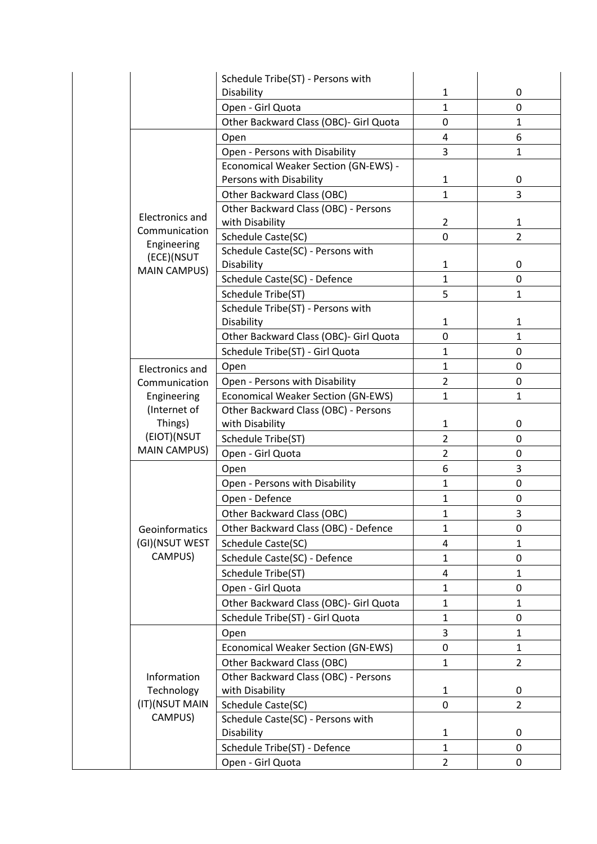|                                             | Schedule Tribe(ST) - Persons with           |                |                |
|---------------------------------------------|---------------------------------------------|----------------|----------------|
|                                             | Disability                                  | $\mathbf{1}$   | 0              |
|                                             | Open - Girl Quota                           | $\mathbf{1}$   | 0              |
|                                             | Other Backward Class (OBC)- Girl Quota      | 0              | 1              |
|                                             | Open                                        | 4              | 6              |
|                                             | Open - Persons with Disability              | 3              | 1              |
|                                             | <b>Economical Weaker Section (GN-EWS) -</b> |                |                |
|                                             | Persons with Disability                     | $\mathbf{1}$   | 0              |
|                                             | Other Backward Class (OBC)                  | $\mathbf{1}$   | 3              |
|                                             | Other Backward Class (OBC) - Persons        |                |                |
| <b>Electronics and</b>                      | with Disability                             | $\overline{2}$ | $\mathbf{1}$   |
| Communication                               | Schedule Caste(SC)                          | $\mathbf 0$    | $\overline{2}$ |
| Engineering<br>(ECE)(NSUT                   | Schedule Caste(SC) - Persons with           |                |                |
| <b>MAIN CAMPUS)</b>                         | Disability                                  | $\mathbf{1}$   | 0              |
|                                             | Schedule Caste(SC) - Defence                | $\mathbf{1}$   | 0              |
|                                             | Schedule Tribe(ST)                          | 5              | $\mathbf{1}$   |
|                                             | Schedule Tribe(ST) - Persons with           |                |                |
|                                             | Disability                                  | 1              | 1              |
|                                             | Other Backward Class (OBC)- Girl Quota      | 0              | $\mathbf{1}$   |
|                                             | Schedule Tribe(ST) - Girl Quota             | $\mathbf{1}$   | 0              |
| <b>Electronics and</b>                      | Open                                        | $\mathbf{1}$   | 0              |
| Communication                               | Open - Persons with Disability              | $\overline{2}$ | 0              |
| Engineering                                 | <b>Economical Weaker Section (GN-EWS)</b>   | $\mathbf{1}$   | $\mathbf{1}$   |
| (Internet of                                | Other Backward Class (OBC) - Persons        |                |                |
| Things)<br>(EIOT)(NSUT<br>MAIN CAMPUS)      | with Disability                             | $\mathbf{1}$   | 0              |
|                                             | Schedule Tribe(ST)                          | $\overline{2}$ | 0              |
|                                             | Open - Girl Quota                           | $\overline{2}$ | 0              |
|                                             | Open                                        | 6              | 3              |
|                                             | Open - Persons with Disability              | $\mathbf{1}$   | 0              |
|                                             | Open - Defence                              | $\mathbf{1}$   | 0              |
|                                             | Other Backward Class (OBC)                  | $\mathbf{1}$   | 3              |
| Geoinformatics                              | Other Backward Class (OBC) - Defence        | $\mathbf{1}$   | 0              |
| (GI)(NSUT WEST                              | Schedule Caste(SC)                          | 4              | 1              |
| CAMPUS)                                     | Schedule Caste(SC) - Defence                | $\mathbf{1}$   | 0              |
|                                             | Schedule Tribe(ST)                          | 4              | 1              |
|                                             | Open - Girl Quota                           | $\mathbf{1}$   | 0              |
|                                             |                                             |                |                |
|                                             | Other Backward Class (OBC)- Girl Quota      | $\mathbf{1}$   | 1              |
|                                             | Schedule Tribe(ST) - Girl Quota             | $\mathbf{1}$   | 0              |
|                                             | Open                                        | 3              | $\mathbf{1}$   |
|                                             | <b>Economical Weaker Section (GN-EWS)</b>   | 0              | $\mathbf{1}$   |
| Information<br>Technology<br>(IT)(NSUT MAIN | Other Backward Class (OBC)                  | $\mathbf{1}$   | $\overline{2}$ |
|                                             | Other Backward Class (OBC) - Persons        |                |                |
|                                             | with Disability                             | $\mathbf{1}$   | 0              |
|                                             | Schedule Caste(SC)                          | 0              | $\overline{2}$ |
| CAMPUS)                                     | Schedule Caste(SC) - Persons with           |                |                |
|                                             | Disability                                  | $\mathbf{1}$   | 0              |
|                                             | Schedule Tribe(ST) - Defence                | $\mathbf{1}$   | 0              |
|                                             | Open - Girl Quota                           | $\overline{2}$ | 0              |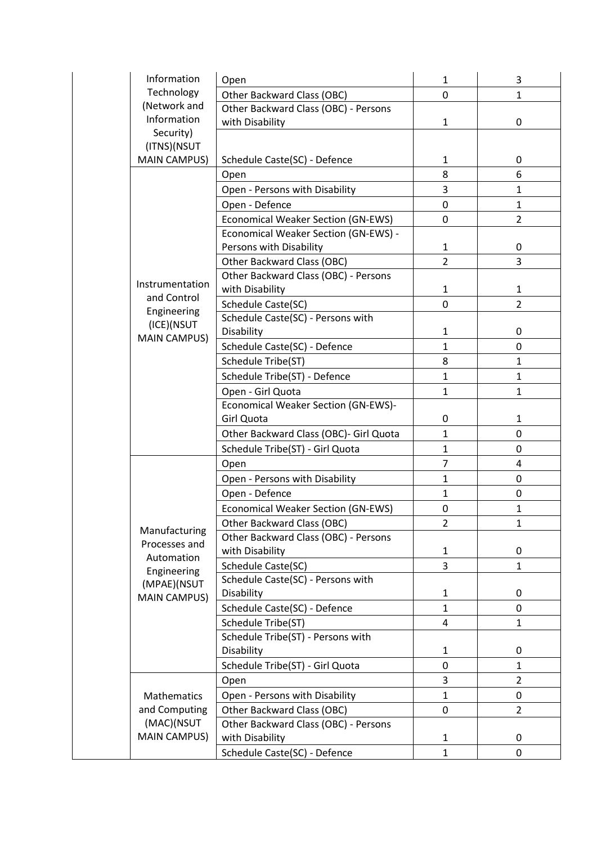| Information               | Open                                       | $\mathbf{1}$   | 3              |
|---------------------------|--------------------------------------------|----------------|----------------|
| Technology                | Other Backward Class (OBC)                 | 0              | 1              |
| (Network and              | Other Backward Class (OBC) - Persons       |                |                |
| Information               | with Disability                            | $\mathbf{1}$   | 0              |
| Security)<br>(ITNS)(NSUT  |                                            |                |                |
| <b>MAIN CAMPUS)</b>       | Schedule Caste(SC) - Defence               | $\mathbf{1}$   | 0              |
|                           | Open                                       | 8              | 6              |
|                           | Open - Persons with Disability             | 3              | 1              |
|                           | Open - Defence                             | $\mathbf 0$    | $\mathbf{1}$   |
|                           | <b>Economical Weaker Section (GN-EWS)</b>  | $\mathbf 0$    | $\overline{2}$ |
|                           | Economical Weaker Section (GN-EWS) -       |                |                |
|                           | Persons with Disability                    | $\mathbf{1}$   | 0              |
|                           | Other Backward Class (OBC)                 | $\overline{2}$ | 3              |
|                           | Other Backward Class (OBC) - Persons       |                |                |
| Instrumentation           | with Disability                            | $\mathbf{1}$   | $\mathbf{1}$   |
| and Control               | Schedule Caste(SC)                         | $\mathbf 0$    | 2              |
| Engineering               | Schedule Caste(SC) - Persons with          |                |                |
| (ICE)(NSUT                | Disability                                 | 1              | 0              |
| <b>MAIN CAMPUS)</b>       | Schedule Caste(SC) - Defence               | $\mathbf{1}$   | 0              |
|                           | Schedule Tribe(ST)                         | 8              | $\mathbf{1}$   |
|                           | Schedule Tribe(ST) - Defence               | $\mathbf{1}$   | $\mathbf{1}$   |
|                           | Open - Girl Quota                          | $\mathbf{1}$   | 1              |
|                           | <b>Economical Weaker Section (GN-EWS)-</b> |                |                |
|                           | Girl Quota                                 | $\mathbf 0$    | $\mathbf{1}$   |
|                           | Other Backward Class (OBC)- Girl Quota     | $\mathbf{1}$   | 0              |
|                           | Schedule Tribe(ST) - Girl Quota            | $\mathbf{1}$   | $\mathbf 0$    |
|                           | Open                                       | 7              | 4              |
|                           | Open - Persons with Disability             | $\mathbf{1}$   | 0              |
|                           | Open - Defence                             | $\mathbf{1}$   | 0              |
|                           | Economical Weaker Section (GN-EWS)         | 0              | $\mathbf{1}$   |
|                           | Other Backward Class (OBC)                 | 2              | 1              |
| Manufacturing             | Other Backward Class (OBC) - Persons       |                |                |
| Processes and             | with Disability                            | $\mathbf{1}$   | 0              |
| Automation<br>Engineering | Schedule Caste(SC)                         | 3              | 1              |
| (MPAE)(NSUT               | Schedule Caste(SC) - Persons with          |                |                |
| <b>MAIN CAMPUS)</b>       | Disability                                 | $\mathbf{1}$   | 0              |
|                           | Schedule Caste(SC) - Defence               | $\mathbf{1}$   | 0              |
|                           | Schedule Tribe(ST)                         | 4              | $\mathbf{1}$   |
|                           | Schedule Tribe(ST) - Persons with          |                |                |
|                           | Disability                                 | 1              | 0              |
|                           | Schedule Tribe(ST) - Girl Quota            | $\mathbf 0$    | $\mathbf{1}$   |
|                           | Open                                       | 3              | $\overline{2}$ |
| Mathematics               | Open - Persons with Disability             | $\mathbf{1}$   | 0              |
| and Computing             | Other Backward Class (OBC)                 | 0              | $\overline{2}$ |
| (MAC)(NSUT                | Other Backward Class (OBC) - Persons       |                |                |
| <b>MAIN CAMPUS)</b>       | with Disability                            | $\mathbf{1}$   | 0              |
|                           | Schedule Caste(SC) - Defence               | 1              | 0              |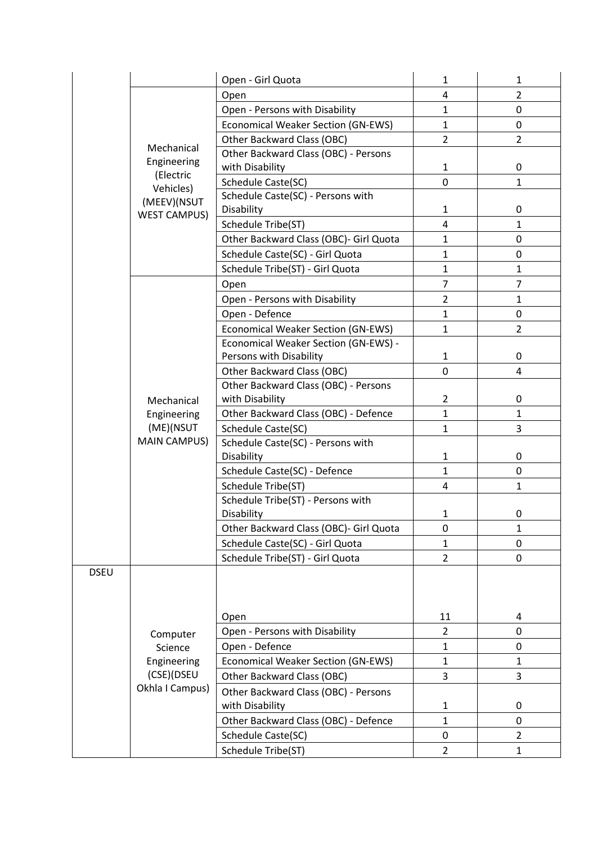| $\overline{2}$<br>4<br>Open<br>Open - Persons with Disability<br>$\mathbf{1}$<br>0<br><b>Economical Weaker Section (GN-EWS)</b><br>0<br>$\mathbf{1}$<br>Other Backward Class (OBC)<br>$\overline{2}$<br>$\overline{2}$<br>Mechanical<br>Other Backward Class (OBC) - Persons<br>Engineering<br>with Disability<br>$\mathbf{1}$<br>0<br>(Electric<br>Schedule Caste(SC)<br>0<br>$\mathbf{1}$<br>Vehicles)<br>Schedule Caste(SC) - Persons with<br>(MEEV)(NSUT<br>Disability<br>0<br>$\mathbf{1}$<br><b>WEST CAMPUS)</b><br>Schedule Tribe(ST)<br>4<br>$\mathbf{1}$<br>Other Backward Class (OBC)- Girl Quota<br>$\mathbf{1}$<br>0<br>Schedule Caste(SC) - Girl Quota<br>$\mathbf{1}$<br>0<br>Schedule Tribe(ST) - Girl Quota<br>$\mathbf{1}$<br>$\mathbf{1}$<br>$\overline{7}$<br>$\overline{7}$<br>Open<br>Open - Persons with Disability<br>$\overline{2}$<br>$\mathbf{1}$<br>Open - Defence<br>$\mathbf{1}$<br>0<br>$\overline{2}$<br><b>Economical Weaker Section (GN-EWS)</b><br>$\mathbf{1}$<br>Economical Weaker Section (GN-EWS) -<br>Persons with Disability<br>0<br>1<br>Other Backward Class (OBC)<br>0<br>4<br>Other Backward Class (OBC) - Persons<br>with Disability<br>$\overline{2}$<br>0<br>Mechanical<br>Other Backward Class (OBC) - Defence<br>$\mathbf{1}$<br>$\mathbf{1}$<br>Engineering |
|---------------------------------------------------------------------------------------------------------------------------------------------------------------------------------------------------------------------------------------------------------------------------------------------------------------------------------------------------------------------------------------------------------------------------------------------------------------------------------------------------------------------------------------------------------------------------------------------------------------------------------------------------------------------------------------------------------------------------------------------------------------------------------------------------------------------------------------------------------------------------------------------------------------------------------------------------------------------------------------------------------------------------------------------------------------------------------------------------------------------------------------------------------------------------------------------------------------------------------------------------------------------------------------------------------------|
|                                                                                                                                                                                                                                                                                                                                                                                                                                                                                                                                                                                                                                                                                                                                                                                                                                                                                                                                                                                                                                                                                                                                                                                                                                                                                                               |
|                                                                                                                                                                                                                                                                                                                                                                                                                                                                                                                                                                                                                                                                                                                                                                                                                                                                                                                                                                                                                                                                                                                                                                                                                                                                                                               |
|                                                                                                                                                                                                                                                                                                                                                                                                                                                                                                                                                                                                                                                                                                                                                                                                                                                                                                                                                                                                                                                                                                                                                                                                                                                                                                               |
|                                                                                                                                                                                                                                                                                                                                                                                                                                                                                                                                                                                                                                                                                                                                                                                                                                                                                                                                                                                                                                                                                                                                                                                                                                                                                                               |
|                                                                                                                                                                                                                                                                                                                                                                                                                                                                                                                                                                                                                                                                                                                                                                                                                                                                                                                                                                                                                                                                                                                                                                                                                                                                                                               |
|                                                                                                                                                                                                                                                                                                                                                                                                                                                                                                                                                                                                                                                                                                                                                                                                                                                                                                                                                                                                                                                                                                                                                                                                                                                                                                               |
|                                                                                                                                                                                                                                                                                                                                                                                                                                                                                                                                                                                                                                                                                                                                                                                                                                                                                                                                                                                                                                                                                                                                                                                                                                                                                                               |
|                                                                                                                                                                                                                                                                                                                                                                                                                                                                                                                                                                                                                                                                                                                                                                                                                                                                                                                                                                                                                                                                                                                                                                                                                                                                                                               |
|                                                                                                                                                                                                                                                                                                                                                                                                                                                                                                                                                                                                                                                                                                                                                                                                                                                                                                                                                                                                                                                                                                                                                                                                                                                                                                               |
|                                                                                                                                                                                                                                                                                                                                                                                                                                                                                                                                                                                                                                                                                                                                                                                                                                                                                                                                                                                                                                                                                                                                                                                                                                                                                                               |
|                                                                                                                                                                                                                                                                                                                                                                                                                                                                                                                                                                                                                                                                                                                                                                                                                                                                                                                                                                                                                                                                                                                                                                                                                                                                                                               |
|                                                                                                                                                                                                                                                                                                                                                                                                                                                                                                                                                                                                                                                                                                                                                                                                                                                                                                                                                                                                                                                                                                                                                                                                                                                                                                               |
|                                                                                                                                                                                                                                                                                                                                                                                                                                                                                                                                                                                                                                                                                                                                                                                                                                                                                                                                                                                                                                                                                                                                                                                                                                                                                                               |
|                                                                                                                                                                                                                                                                                                                                                                                                                                                                                                                                                                                                                                                                                                                                                                                                                                                                                                                                                                                                                                                                                                                                                                                                                                                                                                               |
|                                                                                                                                                                                                                                                                                                                                                                                                                                                                                                                                                                                                                                                                                                                                                                                                                                                                                                                                                                                                                                                                                                                                                                                                                                                                                                               |
|                                                                                                                                                                                                                                                                                                                                                                                                                                                                                                                                                                                                                                                                                                                                                                                                                                                                                                                                                                                                                                                                                                                                                                                                                                                                                                               |
|                                                                                                                                                                                                                                                                                                                                                                                                                                                                                                                                                                                                                                                                                                                                                                                                                                                                                                                                                                                                                                                                                                                                                                                                                                                                                                               |
|                                                                                                                                                                                                                                                                                                                                                                                                                                                                                                                                                                                                                                                                                                                                                                                                                                                                                                                                                                                                                                                                                                                                                                                                                                                                                                               |
|                                                                                                                                                                                                                                                                                                                                                                                                                                                                                                                                                                                                                                                                                                                                                                                                                                                                                                                                                                                                                                                                                                                                                                                                                                                                                                               |
|                                                                                                                                                                                                                                                                                                                                                                                                                                                                                                                                                                                                                                                                                                                                                                                                                                                                                                                                                                                                                                                                                                                                                                                                                                                                                                               |
|                                                                                                                                                                                                                                                                                                                                                                                                                                                                                                                                                                                                                                                                                                                                                                                                                                                                                                                                                                                                                                                                                                                                                                                                                                                                                                               |
|                                                                                                                                                                                                                                                                                                                                                                                                                                                                                                                                                                                                                                                                                                                                                                                                                                                                                                                                                                                                                                                                                                                                                                                                                                                                                                               |
|                                                                                                                                                                                                                                                                                                                                                                                                                                                                                                                                                                                                                                                                                                                                                                                                                                                                                                                                                                                                                                                                                                                                                                                                                                                                                                               |
| (ME)(NSUT<br>3<br>Schedule Caste(SC)<br>$\mathbf{1}$                                                                                                                                                                                                                                                                                                                                                                                                                                                                                                                                                                                                                                                                                                                                                                                                                                                                                                                                                                                                                                                                                                                                                                                                                                                          |
| <b>MAIN CAMPUS)</b><br>Schedule Caste(SC) - Persons with                                                                                                                                                                                                                                                                                                                                                                                                                                                                                                                                                                                                                                                                                                                                                                                                                                                                                                                                                                                                                                                                                                                                                                                                                                                      |
| 0<br>Disability<br>$\mathbf{1}$                                                                                                                                                                                                                                                                                                                                                                                                                                                                                                                                                                                                                                                                                                                                                                                                                                                                                                                                                                                                                                                                                                                                                                                                                                                                               |
| Schedule Caste(SC) - Defence<br>$\mathbf{1}$<br>0<br>Schedule Tribe(ST)<br>4<br>$\mathbf{1}$                                                                                                                                                                                                                                                                                                                                                                                                                                                                                                                                                                                                                                                                                                                                                                                                                                                                                                                                                                                                                                                                                                                                                                                                                  |
| Schedule Tribe(ST) - Persons with                                                                                                                                                                                                                                                                                                                                                                                                                                                                                                                                                                                                                                                                                                                                                                                                                                                                                                                                                                                                                                                                                                                                                                                                                                                                             |
| Disability<br>$\mathbf{1}$<br>0                                                                                                                                                                                                                                                                                                                                                                                                                                                                                                                                                                                                                                                                                                                                                                                                                                                                                                                                                                                                                                                                                                                                                                                                                                                                               |
| Other Backward Class (OBC)- Girl Quota<br>1<br>0                                                                                                                                                                                                                                                                                                                                                                                                                                                                                                                                                                                                                                                                                                                                                                                                                                                                                                                                                                                                                                                                                                                                                                                                                                                              |
| Schedule Caste(SC) - Girl Quota<br>1<br>0                                                                                                                                                                                                                                                                                                                                                                                                                                                                                                                                                                                                                                                                                                                                                                                                                                                                                                                                                                                                                                                                                                                                                                                                                                                                     |
| Schedule Tribe(ST) - Girl Quota<br>$\overline{2}$<br>0                                                                                                                                                                                                                                                                                                                                                                                                                                                                                                                                                                                                                                                                                                                                                                                                                                                                                                                                                                                                                                                                                                                                                                                                                                                        |
| <b>DSEU</b>                                                                                                                                                                                                                                                                                                                                                                                                                                                                                                                                                                                                                                                                                                                                                                                                                                                                                                                                                                                                                                                                                                                                                                                                                                                                                                   |
|                                                                                                                                                                                                                                                                                                                                                                                                                                                                                                                                                                                                                                                                                                                                                                                                                                                                                                                                                                                                                                                                                                                                                                                                                                                                                                               |
|                                                                                                                                                                                                                                                                                                                                                                                                                                                                                                                                                                                                                                                                                                                                                                                                                                                                                                                                                                                                                                                                                                                                                                                                                                                                                                               |
| 11<br>4<br>Open                                                                                                                                                                                                                                                                                                                                                                                                                                                                                                                                                                                                                                                                                                                                                                                                                                                                                                                                                                                                                                                                                                                                                                                                                                                                                               |
| Open - Persons with Disability<br>0<br>$\overline{2}$<br>Computer                                                                                                                                                                                                                                                                                                                                                                                                                                                                                                                                                                                                                                                                                                                                                                                                                                                                                                                                                                                                                                                                                                                                                                                                                                             |
| Open - Defence<br>$\mathbf{1}$<br>0<br>Science                                                                                                                                                                                                                                                                                                                                                                                                                                                                                                                                                                                                                                                                                                                                                                                                                                                                                                                                                                                                                                                                                                                                                                                                                                                                |
| Engineering<br><b>Economical Weaker Section (GN-EWS)</b><br>$\mathbf{1}$<br>$\mathbf{1}$                                                                                                                                                                                                                                                                                                                                                                                                                                                                                                                                                                                                                                                                                                                                                                                                                                                                                                                                                                                                                                                                                                                                                                                                                      |
| (CSE)(DSEU<br>Other Backward Class (OBC)<br>3<br>3                                                                                                                                                                                                                                                                                                                                                                                                                                                                                                                                                                                                                                                                                                                                                                                                                                                                                                                                                                                                                                                                                                                                                                                                                                                            |
| Okhla I Campus)<br>Other Backward Class (OBC) - Persons                                                                                                                                                                                                                                                                                                                                                                                                                                                                                                                                                                                                                                                                                                                                                                                                                                                                                                                                                                                                                                                                                                                                                                                                                                                       |
| with Disability<br>$\mathbf{1}$<br>0                                                                                                                                                                                                                                                                                                                                                                                                                                                                                                                                                                                                                                                                                                                                                                                                                                                                                                                                                                                                                                                                                                                                                                                                                                                                          |
| Other Backward Class (OBC) - Defence<br>$\mathbf{1}$<br>0                                                                                                                                                                                                                                                                                                                                                                                                                                                                                                                                                                                                                                                                                                                                                                                                                                                                                                                                                                                                                                                                                                                                                                                                                                                     |
| Schedule Caste(SC)<br>0<br>$\overline{2}$                                                                                                                                                                                                                                                                                                                                                                                                                                                                                                                                                                                                                                                                                                                                                                                                                                                                                                                                                                                                                                                                                                                                                                                                                                                                     |
| Schedule Tribe(ST)<br>$\overline{2}$<br>$\mathbf{1}$                                                                                                                                                                                                                                                                                                                                                                                                                                                                                                                                                                                                                                                                                                                                                                                                                                                                                                                                                                                                                                                                                                                                                                                                                                                          |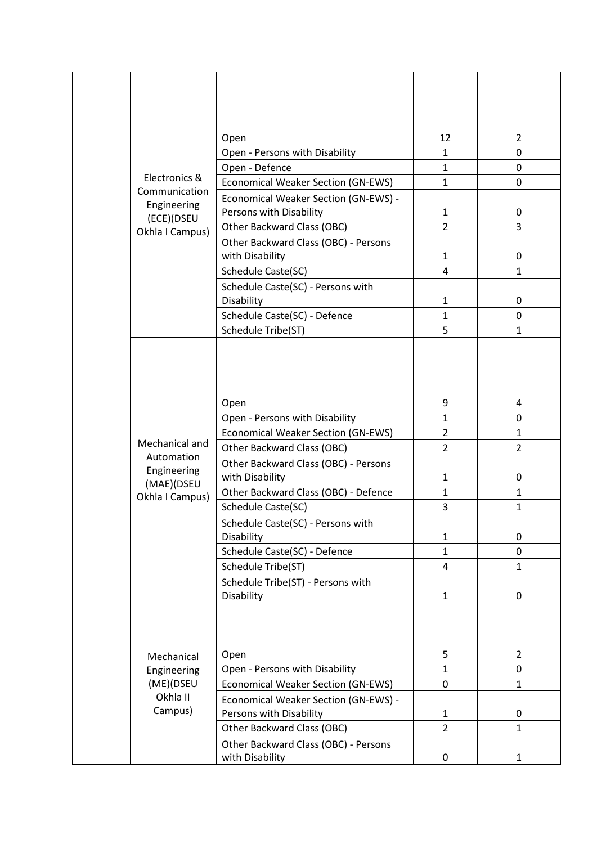| Electronics &<br>Communication<br>Engineering<br>(ECE)(DSEU<br>Okhla I Campus) |                                           | 12             | $\overline{2}$ |
|--------------------------------------------------------------------------------|-------------------------------------------|----------------|----------------|
|                                                                                | Open<br>Open - Persons with Disability    | 1              | 0              |
|                                                                                | Open - Defence                            | $\mathbf{1}$   | 0              |
|                                                                                | <b>Economical Weaker Section (GN-EWS)</b> | $\mathbf{1}$   | 0              |
|                                                                                | Economical Weaker Section (GN-EWS) -      |                |                |
|                                                                                | Persons with Disability                   | $\mathbf{1}$   | 0              |
|                                                                                | Other Backward Class (OBC)                | $\overline{2}$ | 3              |
|                                                                                | Other Backward Class (OBC) - Persons      |                |                |
|                                                                                | with Disability                           | $\mathbf{1}$   | 0              |
|                                                                                | Schedule Caste(SC)                        | 4              | $\mathbf{1}$   |
|                                                                                | Schedule Caste(SC) - Persons with         |                |                |
|                                                                                | Disability                                | 1              | 0              |
|                                                                                | Schedule Caste(SC) - Defence              | $\mathbf{1}$   | 0              |
|                                                                                | Schedule Tribe(ST)                        | 5              | $\mathbf{1}$   |
|                                                                                |                                           |                |                |
|                                                                                |                                           |                |                |
|                                                                                |                                           |                |                |
| Mechanical and<br>Automation<br>Engineering<br>(MAE)(DSEU<br>Okhla I Campus)   |                                           |                |                |
|                                                                                | Open                                      | 9              | 4              |
|                                                                                | Open - Persons with Disability            | 1              | 0              |
|                                                                                | Economical Weaker Section (GN-EWS)        | $\overline{2}$ | $\mathbf{1}$   |
|                                                                                | Other Backward Class (OBC)                | $\overline{2}$ | $\overline{2}$ |
|                                                                                | Other Backward Class (OBC) - Persons      |                |                |
|                                                                                | with Disability                           | 1              | 0              |
|                                                                                | Other Backward Class (OBC) - Defence      | $\mathbf{1}$   | $\mathbf{1}$   |
|                                                                                | Schedule Caste(SC)                        | 3              | $\mathbf{1}$   |
|                                                                                | Schedule Caste(SC) - Persons with         |                |                |
|                                                                                | Disability                                | $\mathbf{1}$   | 0              |
|                                                                                | Schedule Caste(SC) - Defence              | $\mathbf{1}$   | 0              |
|                                                                                | Schedule Tribe(ST)                        | 4              | $\mathbf{1}$   |
|                                                                                | Schedule Tribe(ST) - Persons with         |                |                |
|                                                                                | Disability                                | $\mathbf{1}$   | 0              |
|                                                                                |                                           |                |                |
|                                                                                |                                           |                |                |
|                                                                                |                                           |                |                |
| Mechanical                                                                     | Open                                      | 5              | $\overline{2}$ |
| Engineering                                                                    | Open - Persons with Disability            | $\mathbf{1}$   | 0              |
| (ME)(DSEU<br>Okhla II                                                          | <b>Economical Weaker Section (GN-EWS)</b> | 0              | $\mathbf{1}$   |
| Campus)                                                                        | Economical Weaker Section (GN-EWS) -      |                |                |
|                                                                                | Persons with Disability                   | 1              | 0              |
|                                                                                | Other Backward Class (OBC)                | $\overline{2}$ | $\mathbf{1}$   |
|                                                                                | Other Backward Class (OBC) - Persons      |                |                |
|                                                                                | with Disability                           | 0              | 1              |